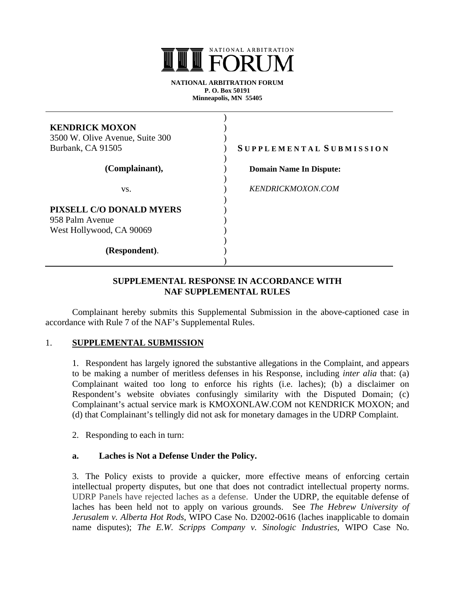

**NATIONAL ARBITRATION FORUM P. O. Box 50191 Minneapolis, MN 55405** 

| <b>KENDRICK MOXON</b><br>3500 W. Olive Avenue, Suite 300<br>Burbank, CA 91505 | SUPPLEMENTAL SUBMISSION        |
|-------------------------------------------------------------------------------|--------------------------------|
| (Complainant),                                                                | <b>Domain Name In Dispute:</b> |
| VS.                                                                           | <b>KENDRICKMOXON.COM</b>       |
| PIXSELL C/O DONALD MYERS<br>958 Palm Avenue<br>West Hollywood, CA 90069       |                                |
| (Respondent).                                                                 |                                |

## **SUPPLEMENTAL RESPONSE IN ACCORDANCE WITH NAF SUPPLEMENTAL RULES**

Complainant hereby submits this Supplemental Submission in the above-captioned case in accordance with Rule 7 of the NAF's Supplemental Rules.

### 1. **SUPPLEMENTAL SUBMISSION**

1. Respondent has largely ignored the substantive allegations in the Complaint, and appears to be making a number of meritless defenses in his Response, including *inter alia* that: (a) Complainant waited too long to enforce his rights (i.e. laches); (b) a disclaimer on Respondent's website obviates confusingly similarity with the Disputed Domain; (c) Complainant's actual service mark is KMOXONLAW.COM not KENDRICK MOXON; and (d) that Complainant's tellingly did not ask for monetary damages in the UDRP Complaint.

2. Responding to each in turn:

### **a. Laches is Not a Defense Under the Policy.**

3. The Policy exists to provide a quicker, more effective means of enforcing certain intellectual property disputes, but one that does not contradict intellectual property norms. UDRP Panels have rejected laches as a defense. Under the UDRP, the equitable defense of laches has been held not to apply on various grounds. See *The Hebrew University of Jerusalem v. Alberta Hot Rods*, WIPO Case No. D2002-0616 (laches inapplicable to domain name disputes); *The E.W. Scripps Company v. Sinologic Industries*, WIPO Case No.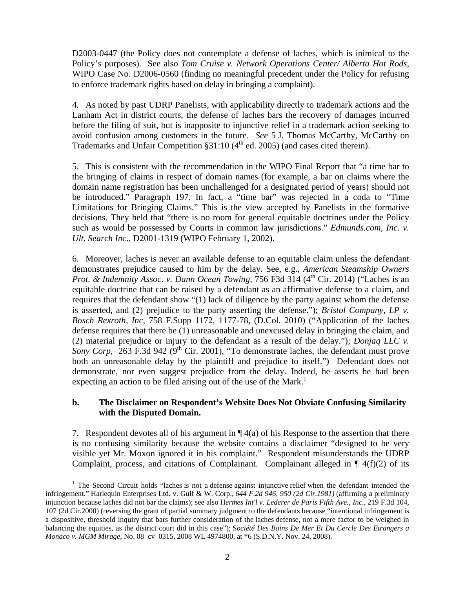D2003-0447 (the Policy does not contemplate a defense of laches, which is inimical to the Policy's purposes). See also *Tom Cruise v. Network Operations Center/ Alberta Hot Rods*, WIPO Case No. D2006-0560 (finding no meaningful precedent under the Policy for refusing to enforce trademark rights based on delay in bringing a complaint).

4. As noted by past UDRP Panelists, with applicability directly to trademark actions and the Lanham Act in district courts, the defense of laches bars the recovery of damages incurred before the filing of suit, but is inapposite to injunctive relief in a trademark action seeking to avoid confusion among customers in the future. *See* 5 J. Thomas McCarthy, McCarthy on Trademarks and Unfair Competition  $§31:10$  (4<sup>th</sup> ed. 2005) (and cases cited therein).

5. This is consistent with the recommendation in the WIPO Final Report that "a time bar to the bringing of claims in respect of domain names (for example, a bar on claims where the domain name registration has been unchallenged for a designated period of years) should not be introduced." Paragraph 197. In fact, a "time bar" was rejected in a coda to "Time Limitations for Bringing Claims." This is the view accepted by Panelists in the formative decisions. They held that "there is no room for general equitable doctrines under the Policy such as would be possessed by Courts in common law jurisdictions." *Edmunds.com, Inc. v. Ult. Search Inc.,* D2001-1319 (WIPO February 1, 2002).

6. Moreover, laches is never an available defense to an equitable claim unless the defendant demonstrates prejudice caused to him by the delay. See, e.g., *American Steamship Owners Prot. & Indemnity Assoc. v. Dann Ocean Towing, 756 F3d 314 (4<sup>th</sup> Cir. 2014) ("Laches is an* equitable doctrine that can be raised by a defendant as an affirmative defense to a claim, and requires that the defendant show "(1) lack of diligence by the party against whom the defense is asserted, and (2) prejudice to the party asserting the defense."); *Bristol Company, LP v. Bosch Rexroth, Inc*, 758 F.Supp 1172, 1177-78, (D.Col. 2010) ("Application of the laches defense requires that there be (1) unreasonable and unexcused delay in bringing the claim, and (2) material prejudice or injury to the defendant as a result of the delay."); *Donjaq LLC v. Sony Corp*, 263 F.3d 942 (9<sup>th</sup> Cir. 2001), "To demonstrate laches, the defendant must prove both an unreasonable delay by the plaintiff and prejudice to itself.") Defendant does not demonstrate, nor even suggest prejudice from the delay. Indeed, he asserts he had been expecting an action to be filed arising out of the use of the Mark.<sup>1</sup>

## **b. The Disclaimer on Respondent's Website Does Not Obviate Confusing Similarity with the Disputed Domain.**

7. Respondent devotes all of his argument in  $\P$  4(a) of his Response to the assertion that there is no confusing similarity because the website contains a disclaimer "designed to be very visible yet Mr. Moxon ignored it in his complaint." Respondent misunderstands the UDRP Complaint, process, and citations of Complainant. Complainant alleged in  $\P$  4(f)(2) of its

 $\frac{1}{1}$  $1$  The Second Circuit holds "laches is not a defense against injunctive relief when the defendant intended the infringement." Harlequin Enterprises Ltd. v. Gulf & W. Corp., *644 F.2d 946, 950 (2d Cir.1981)* (affirming a preliminary injunction because laches did not bar the claims); see also H*ermes Int'l v. Lederer de Paris Fifth Ave., Inc*., 219 F.3d 104, 107 (2d Cir.2000) (reversing the grant of partial summary judgment to the defendants because "intentional infringement is a dispositive, threshold inquiry that bars further consideration of the laches defense, not a mere factor to be weighed in balancing the equities, as the district court did in this case"); S*ociété Des Bains De Mer Et Du Cercle Des Etrangers a Monaco v. MGM Mirage*, No. 08–cv–0315, 2008 WL 4974800, at \*6 (S.D.N.Y. Nov. 24, 2008).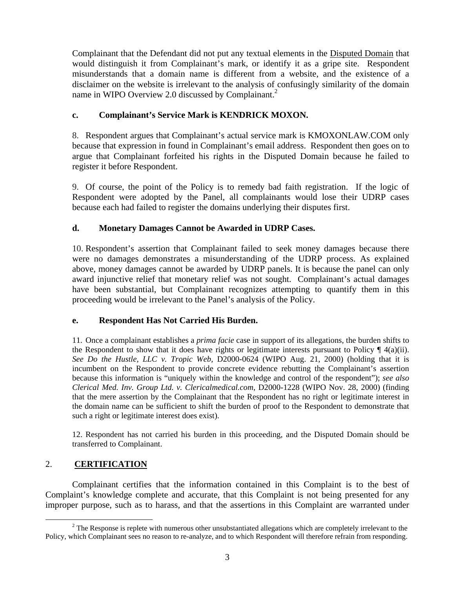Complainant that the Defendant did not put any textual elements in the Disputed Domain that would distinguish it from Complainant's mark, or identify it as a gripe site. Respondent misunderstands that a domain name is different from a website, and the existence of a disclaimer on the website is irrelevant to the analysis of confusingly similarity of the domain name in WIPO Overview 2.0 discussed by Complainant.<sup>2</sup>

# **c. Complainant's Service Mark is KENDRICK MOXON.**

8. Respondent argues that Complainant's actual service mark is KMOXONLAW.COM only because that expression in found in Complainant's email address. Respondent then goes on to argue that Complainant forfeited his rights in the Disputed Domain because he failed to register it before Respondent.

9. Of course, the point of the Policy is to remedy bad faith registration. If the logic of Respondent were adopted by the Panel, all complainants would lose their UDRP cases because each had failed to register the domains underlying their disputes first.

# **d. Monetary Damages Cannot be Awarded in UDRP Cases.**

10. Respondent's assertion that Complainant failed to seek money damages because there were no damages demonstrates a misunderstanding of the UDRP process. As explained above, money damages cannot be awarded by UDRP panels. It is because the panel can only award injunctive relief that monetary relief was not sought. Complainant's actual damages have been substantial, but Complainant recognizes attempting to quantify them in this proceeding would be irrelevant to the Panel's analysis of the Policy.

# **e. Respondent Has Not Carried His Burden.**

11. Once a complainant establishes a *prima facie* case in support of its allegations, the burden shifts to the Respondent to show that it does have rights or legitimate interests pursuant to Policy  $\P$  4(a)(ii). *See Do the Hustle, LLC v. Tropic Web*, D2000-0624 (WIPO Aug. 21, 2000) (holding that it is incumbent on the Respondent to provide concrete evidence rebutting the Complainant's assertion because this information is "uniquely within the knowledge and control of the respondent"); *see also Clerical Med. Inv. Group Ltd. v. Clericalmedical.com*, D2000-1228 (WIPO Nov. 28, 2000) (finding that the mere assertion by the Complainant that the Respondent has no right or legitimate interest in the domain name can be sufficient to shift the burden of proof to the Respondent to demonstrate that such a right or legitimate interest does exist).

12. Respondent has not carried his burden in this proceeding, and the Disputed Domain should be transferred to Complainant.

# 2. **CERTIFICATION**

Complainant certifies that the information contained in this Complaint is to the best of Complaint's knowledge complete and accurate, that this Complaint is not being presented for any improper purpose, such as to harass, and that the assertions in this Complaint are warranted under

 $\frac{1}{2}$ <sup>2</sup> The Response is replete with numerous other unsubstantiated allegations which are completely irrelevant to the Policy, which Complainant sees no reason to re-analyze, and to which Respondent will therefore refrain from responding.